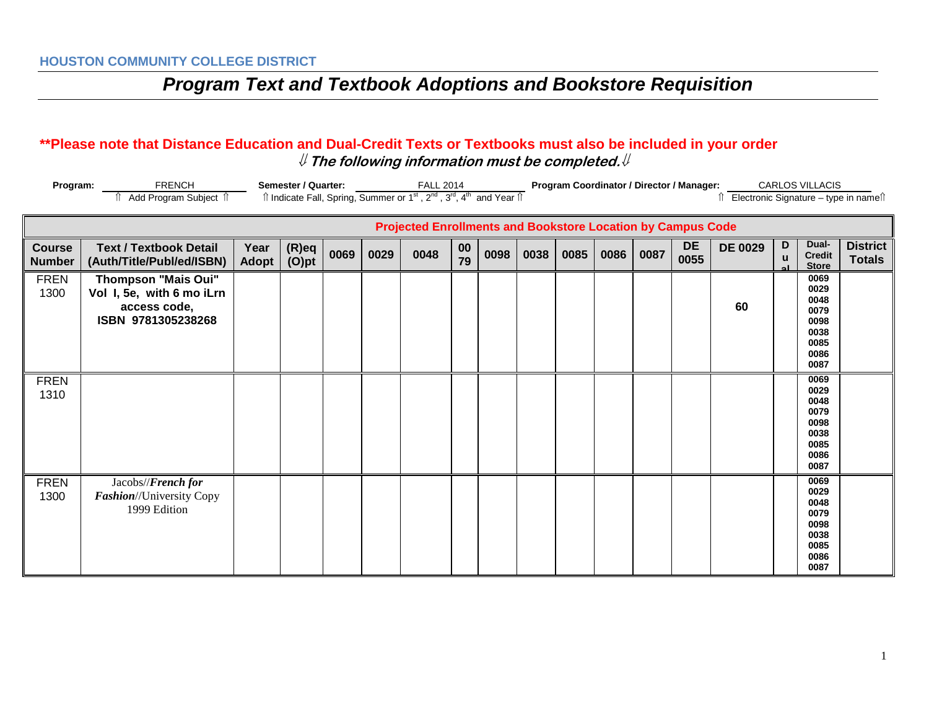#### **\*\*Please note that Distance Education and Dual-Credit Texts or Textbooks must also be included in your order** ⇓ **The following information must be completed.**⇓

| Program:                       | <b>FRENCH</b><br>Add Program Subject 1                                                        |                      | Semester / Quarter: |      |      | <b>FALL 2014</b><br>Îl Indicate Fall, Spring, Summer or 1 <sup>st</sup> , 2 <sup>nd</sup> , 3 <sup>rd</sup> , 4 <sup>th</sup> and Year Îl |          |      |      |      |      |      |            | Program Coordinator / Director / Manager:<br><b>CARLOS VILLACIS</b><br>Electronic Signature - type in names |        |                                                                      |                                  |
|--------------------------------|-----------------------------------------------------------------------------------------------|----------------------|---------------------|------|------|-------------------------------------------------------------------------------------------------------------------------------------------|----------|------|------|------|------|------|------------|-------------------------------------------------------------------------------------------------------------|--------|----------------------------------------------------------------------|----------------------------------|
|                                |                                                                                               |                      |                     |      |      | <b>Projected Enrollments and Bookstore Location by Campus Code</b>                                                                        |          |      |      |      |      |      |            |                                                                                                             |        |                                                                      |                                  |
| <b>Course</b><br><b>Number</b> | <b>Text / Textbook Detail</b><br>(Auth/Title/Publ/ed/ISBN)                                    | Year<br><b>Adopt</b> | (R)eq<br>(O)pt      | 0069 | 0029 | 0048                                                                                                                                      | 00<br>79 | 0098 | 0038 | 0085 | 0086 | 0087 | DE<br>0055 | <b>DE 0029</b>                                                                                              | D<br>u | Dual-<br><b>Credit</b><br><b>Store</b>                               | <b>District</b><br><b>Totals</b> |
| <b>FREN</b><br>1300            | <b>Thompson "Mais Oui"</b><br>Vol I, 5e, with 6 mo iLrn<br>access code,<br>ISBN 9781305238268 |                      |                     |      |      |                                                                                                                                           |          |      |      |      |      |      |            | 60                                                                                                          |        | 0069<br>0029<br>0048<br>0079<br>0098<br>0038<br>0085<br>0086<br>0087 |                                  |
| <b>FREN</b><br>1310            |                                                                                               |                      |                     |      |      |                                                                                                                                           |          |      |      |      |      |      |            |                                                                                                             |        | 0069<br>0029<br>0048<br>0079<br>0098<br>0038<br>0085<br>0086<br>0087 |                                  |
| <b>FREN</b><br>1300            | Jacobs//French for<br>Fashion//University Copy<br>1999 Edition                                |                      |                     |      |      |                                                                                                                                           |          |      |      |      |      |      |            |                                                                                                             |        | 0069<br>0029<br>0048<br>0079<br>0098<br>0038<br>0085<br>0086<br>0087 |                                  |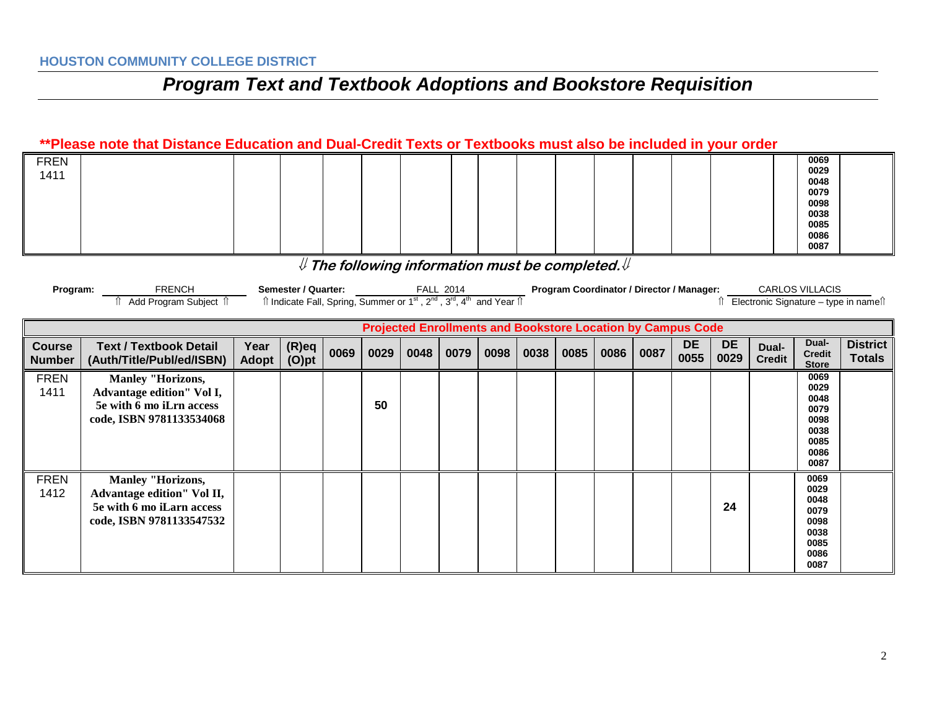#### **\*\*Please note that Distance Education and Dual-Credit Texts or Textbooks must also be included in your order**

| <b>FREN</b> |  |  |  |  |  |  |  | 0069 |  |
|-------------|--|--|--|--|--|--|--|------|--|
| 1411        |  |  |  |  |  |  |  | 0029 |  |
|             |  |  |  |  |  |  |  | 0048 |  |
|             |  |  |  |  |  |  |  | 0079 |  |
|             |  |  |  |  |  |  |  | 0098 |  |
|             |  |  |  |  |  |  |  | 0038 |  |
|             |  |  |  |  |  |  |  | 0085 |  |
|             |  |  |  |  |  |  |  | 0086 |  |
|             |  |  |  |  |  |  |  | 0087 |  |

### ⇓ **The following information must be completed.**⇓

| Program: | FRENCH              | Semester / Quarter: | 2014<br>∽ALL                                                                                                                                                   | <b>Program Coordinator / Director / Manager:</b> | CARLOS VILLACIS                       |
|----------|---------------------|---------------------|----------------------------------------------------------------------------------------------------------------------------------------------------------------|--------------------------------------------------|---------------------------------------|
|          | Add Program Subiect |                     | $\hat{\mathbb{I}}$ Indicate Fall, Spring, Summer or 1 <sup>st</sup> , 2 <sup>nd</sup> , 3 <sup>rd</sup> , 4 <sup>th</sup> a.<br>$^{\circ}$ and Year $\Uparrow$ |                                                  | Electronic Signature – type in namell |

| <b>Projected Enrollments and Bookstore Location by Campus Code</b> |                                                                                                                 |               |                      |      |      |      |      |      |      |      |      |      |                   |                   |                        |                                                                      |                                  |
|--------------------------------------------------------------------|-----------------------------------------------------------------------------------------------------------------|---------------|----------------------|------|------|------|------|------|------|------|------|------|-------------------|-------------------|------------------------|----------------------------------------------------------------------|----------------------------------|
| <b>Course</b><br><b>Number</b>                                     | <b>Text / Textbook Detail</b><br>(Auth/Title/Publ/ed/ISBN)                                                      | Year<br>Adopt | $(R)$ eq<br>$(O)$ pt | 0069 | 0029 | 0048 | 0079 | 0098 | 0038 | 0085 | 0086 | 0087 | <b>DE</b><br>0055 | <b>DE</b><br>0029 | Dual-<br><b>Credit</b> | Dual-<br><b>Credit</b><br><b>Store</b>                               | <b>District</b><br><b>Totals</b> |
| <b>FREN</b><br>1411                                                | <b>Manley "Horizons,</b><br>Advantage edition" Vol I,<br>5e with 6 mo iLrn access<br>code, ISBN 9781133534068   |               |                      |      | 50   |      |      |      |      |      |      |      |                   |                   |                        | 0069<br>0029<br>0048<br>0079<br>0098<br>0038<br>0085<br>0086<br>0087 |                                  |
| <b>FREN</b><br>1412                                                | <b>Manley "Horizons,</b><br>Advantage edition" Vol II,<br>5e with 6 mo iLarn access<br>code, ISBN 9781133547532 |               |                      |      |      |      |      |      |      |      |      |      |                   | 24                |                        | 0069<br>0029<br>0048<br>0079<br>0098<br>0038<br>0085<br>0086<br>0087 |                                  |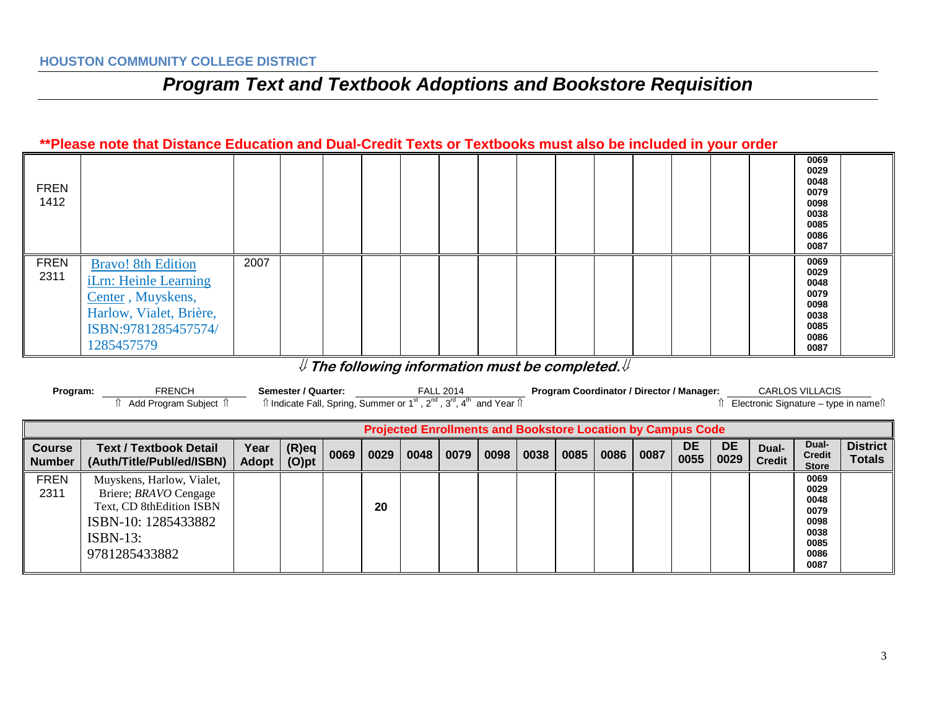#### **\*\*Please note that Distance Education and Dual-Credit Texts or Textbooks must also be included in your order**

| <b>FREN</b><br>1412 |                                                                                                                                         |      |  |  |  |  |  |  | 0069<br>0029<br>0048<br>0079<br>0098<br>0038<br>0085<br>0086<br>0087 |  |
|---------------------|-----------------------------------------------------------------------------------------------------------------------------------------|------|--|--|--|--|--|--|----------------------------------------------------------------------|--|
| <b>FREN</b><br>2311 | <b>Bravo!</b> 8th Edition<br>iLrn: Heinle Learning<br>Center, Muyskens,<br>Harlow, Vialet, Brière,<br>ISBN:9781285457574/<br>1285457579 | 2007 |  |  |  |  |  |  | 0069<br>0029<br>0048<br>0079<br>0098<br>0038<br>0085<br>0086<br>0087 |  |

### ⇓ **The following information must be completed.**⇓

| Program:                                                           | <b>FRENCH</b><br>Add Program Subject 1                                                                                                       |               | Semester / Quarter:<br>$\hat{\parallel}$ Indicate Fall, Spring, Summer or 1 <sup>st</sup> , 2 <sup>nd</sup> , 3 <sup>rd</sup> , 4 <sup>th</sup> and Year $\hat{\parallel}$ |      |      |      | <b>FALL 2014</b> |      | Program Coordinator / Director / Manager: |      |      |      |                   |                   | <b>CARLOS VILLACIS</b><br>ी Electronic Signature – type in nameाी |                                                                      |                                  |
|--------------------------------------------------------------------|----------------------------------------------------------------------------------------------------------------------------------------------|---------------|----------------------------------------------------------------------------------------------------------------------------------------------------------------------------|------|------|------|------------------|------|-------------------------------------------|------|------|------|-------------------|-------------------|-------------------------------------------------------------------|----------------------------------------------------------------------|----------------------------------|
| <b>Projected Enrollments and Bookstore Location by Campus Code</b> |                                                                                                                                              |               |                                                                                                                                                                            |      |      |      |                  |      |                                           |      |      |      |                   |                   |                                                                   |                                                                      |                                  |
| <b>Course</b><br><b>Number</b>                                     | <b>Text / Textbook Detail</b><br>(Auth/Title/Publ/ed/ISBN)                                                                                   | Year<br>Adopt | $(R)$ eq<br>$(O)$ pt                                                                                                                                                       | 0069 | 0029 | 0048 | 0079             | 0098 | 0038                                      | 0085 | 0086 | 0087 | <b>DE</b><br>0055 | <b>DE</b><br>0029 | Dual-<br><b>Credit</b>                                            | Dual-<br><b>Credit</b><br><b>Store</b>                               | <b>District</b><br><b>Totals</b> |
| <b>FREN</b><br>2311                                                | Muyskens, Harlow, Vialet,<br>Briere; <i>BRAVO</i> Cengage<br>Text, CD 8thEdition ISBN<br>ISBN-10: 1285433882<br>$ISBN-13$ :<br>9781285433882 |               |                                                                                                                                                                            |      | 20   |      |                  |      |                                           |      |      |      |                   |                   |                                                                   | 0069<br>0029<br>0048<br>0079<br>0098<br>0038<br>0085<br>0086<br>0087 |                                  |